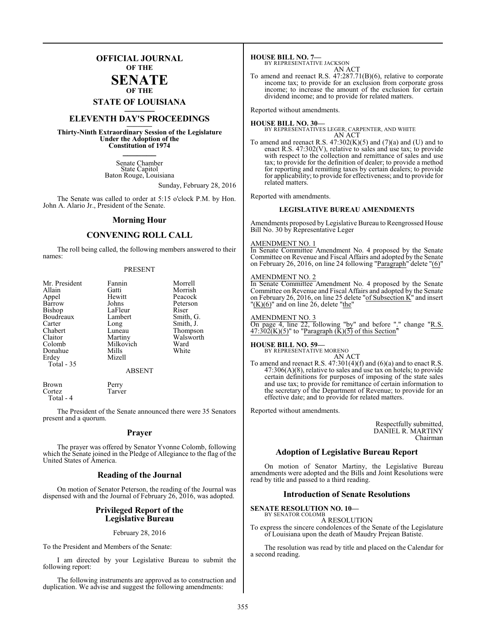## **OFFICIAL JOURNAL OF THE**

#### **SENATE OF THE**

# **STATE OF LOUISIANA \_\_\_\_\_\_\_**

## **ELEVENTH DAY'S PROCEEDINGS \_\_\_\_\_\_\_**

**Thirty-Ninth Extraordinary Session of the Legislature Under the Adoption of the Constitution of 1974 \_\_\_\_\_\_\_**

> Senate Chamber State Capitol Baton Rouge, Louisiana

> > Sunday, February 28, 2016

The Senate was called to order at 5:15 o'clock P.M. by Hon. John A. Alario Jr., President of the Senate.

#### **Morning Hour**

### **CONVENING ROLL CALL**

The roll being called, the following members answered to their names:

#### PRESENT

| Mr. President<br>Allain<br>Appel<br>Barrow<br><b>Bishop</b><br>Boudreaux<br>Carter<br>Chabert<br>Claitor<br>Colomb<br>Donahue<br>Erdey<br>Total - 35 | Fannin<br>Gatti<br>Hewitt<br>Johns<br>LaFleur<br>Lambert<br>Long<br>Luneau<br>Martiny<br>Milkovich<br>Mills<br>Mizell | Morrell<br>Morrish<br>Peacock<br>Peterson<br>Riser<br>Smith, G.<br>Smith, J.<br>Thompson<br>Walsworth<br>Ward<br>White |
|------------------------------------------------------------------------------------------------------------------------------------------------------|-----------------------------------------------------------------------------------------------------------------------|------------------------------------------------------------------------------------------------------------------------|
|                                                                                                                                                      | <b>ABSENT</b>                                                                                                         |                                                                                                                        |

Brown Perry<br>Cortez Tarver Cortez Total - 4

The President of the Senate announced there were 35 Senators present and a quorum.

#### **Prayer**

The prayer was offered by Senator Yvonne Colomb, following which the Senate joined in the Pledge of Allegiance to the flag of the United States of America.

## **Reading of the Journal**

On motion of Senator Peterson, the reading of the Journal was dispensed with and the Journal of February 26, 2016, was adopted.

#### **Privileged Report of the Legislative Bureau**

February 28, 2016

To the President and Members of the Senate:

I am directed by your Legislative Bureau to submit the following report:

The following instruments are approved as to construction and duplication. We advise and suggest the following amendments:

**HOUSE BILL NO. 7—** BY REPRESENTATIVE JACKSON

AN ACT To amend and reenact R.S. 47:287.71(B)(6), relative to corporate income tax; to provide for an exclusion from corporate gross income; to increase the amount of the exclusion for certain dividend income; and to provide for related matters.

Reported without amendments.

#### **HOUSE BILL NO. 30—**

BY REPRESENTATIVES LEGER, CARPENTER, AND WHITE AN ACT

To amend and reenact R.S.  $47:302(K)(5)$  and  $(7)(a)$  and  $(U)$  and to enact R.S. 47:302(V), relative to sales and use tax; to provide with respect to the collection and remittance of sales and use tax; to provide for the definition of dealer; to provide a method for reporting and remitting taxes by certain dealers; to provide for applicability; to provide for effectiveness; and to provide for related matters.

Reported with amendments.

#### **LEGISLATIVE BUREAU AMENDMENTS**

Amendments proposed by Legislative Bureau to Reengrossed House Bill No. 30 by Representative Leger

#### AMENDMENT NO. 1

In Senate Committee Amendment No. 4 proposed by the Senate Committee on Revenue and Fiscal Affairs and adopted by the Senate on February 26, 2016, on line 24 following "Paragraph" delete "(6)"

#### AMENDMENT NO. 2

In Senate Committee Amendment No. 4 proposed by the Senate Committee on Revenue and Fiscal Affairs and adopted by the Senate on February 26, 2016, on line 25 delete " $of Subsection K$ " and insert " $(K)(6)$ " and on line 26, delete "the"

#### AMENDMENT NO. 3

On page 4, line 22, following "by" and before "." change "R.S.  $47:302(K)(5)$ " to "Paragraph  $(K)(\overline{5)}$  of this Section"

#### **HOUSE BILL NO. 59—**

BY REPRESENTATIVE MORENO

AN ACT To amend and reenact R.S.  $47:301(4)(f)$  and  $(6)(a)$  and to enact R.S. 47:306(A)(8), relative to sales and use tax on hotels; to provide certain definitions for purposes of imposing of the state sales and use tax; to provide for remittance of certain information to the secretary of the Department of Revenue; to provide for an effective date; and to provide for related matters.

Reported without amendments.

Respectfully submitted, DANIEL R. MARTINY Chairman

#### **Adoption of Legislative Bureau Report**

On motion of Senator Martiny, the Legislative Bureau amendments were adopted and the Bills and Joint Resolutions were read by title and passed to a third reading.

#### **Introduction of Senate Resolutions**

**SENATE RESOLUTION NO. 10—**

BY SENATOR COLOMB A RESOLUTION

To express the sincere condolences of the Senate of the Legislature of Louisiana upon the death of Maudry Prejean Batiste.

The resolution was read by title and placed on the Calendar for a second reading.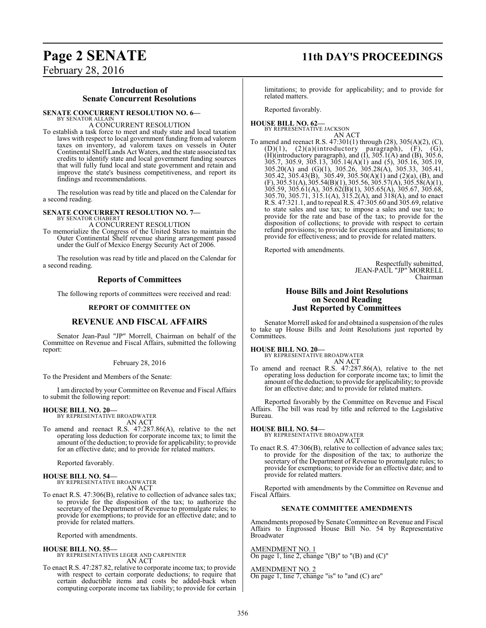# **Page 2 SENATE 11th DAY'S PROCEEDINGS**

February 28, 2016

#### **Introduction of Senate Concurrent Resolutions**

#### **SENATE CONCURRENT RESOLUTION NO. 6—**

BY SENATOR ALLAIN A CONCURRENT RESOLUTION

To establish a task force to meet and study state and local taxation laws with respect to local government funding from ad valorem taxes on inventory, ad valorem taxes on vessels in Outer Continental ShelfLands Act Waters, and the state associated tax credits to identify state and local government funding sources that will fully fund local and state government and retain and improve the state's business competitiveness, and report its findings and recommendations.

The resolution was read by title and placed on the Calendar for a second reading.

#### **SENATE CONCURRENT RESOLUTION NO. 7—** BY SENATOR CHABERT

A CONCURRENT RESOLUTION

To memorialize the Congress of the United States to maintain the Outer Continental Shelf revenue sharing arrangement passed under the Gulf of Mexico Energy Security Act of 2006.

The resolution was read by title and placed on the Calendar for a second reading.

#### **Reports of Committees**

The following reports of committees were received and read:

#### **REPORT OF COMMITTEE ON**

#### **REVENUE AND FISCAL AFFAIRS**

Senator Jean-Paul "JP" Morrell, Chairman on behalf of the Committee on Revenue and Fiscal Affairs, submitted the following report:

#### February 28, 2016

To the President and Members of the Senate:

I am directed by your Committee on Revenue and Fiscal Affairs to submit the following report:

#### **HOUSE BILL NO. 20—**

BY REPRESENTATIVE BROADWATER AN ACT

To amend and reenact R.S. 47:287.86(A), relative to the net operating loss deduction for corporate income tax; to limit the amount of the deduction; to provide for applicability; to provide for an effective date; and to provide for related matters.

Reported favorably.

**HOUSE BILL NO. 54—** BY REPRESENTATIVE BROADWATER AN ACT

To enact R.S. 47:306(B), relative to collection of advance sales tax; to provide for the disposition of the tax; to authorize the secretary of the Department of Revenue to promulgate rules; to provide for exemptions; to provide for an effective date; and to provide for related matters.

Reported with amendments.

#### **HOUSE BILL NO. 55—** BY REPRESENTATIVES LEGER AND CARPENTER AN ACT

To enact R.S. 47:287.82, relative to corporate income tax; to provide with respect to certain corporate deductions; to require that certain deductible items and costs be added-back when computing corporate income tax liability; to provide for certain limitations; to provide for applicability; and to provide for related matters.

Reported favorably.

#### **HOUSE BILL NO. 62—** BY REPRESENTATIVE JACKSON AN ACT

To amend and reenact R.S. 47:301(1) through (28), 305(A)(2), (C),  $(D)(1)$ ,  $(2)(a)(introducing a paragraph)$ ,  $(F)$ ,  $(G)$ , (H)(introductory paragraph), and  $(I)$ , 305.1 $(A)$  and  $(B)$ , 305.6, 305.7, 305.9, 305.13, 305.14(A)(1) and (5), 305.16, 305.19, 305.20(A) and (G)(1), 305.26, 305.28(A), 305.33, 305.41, 305.42, 305.43(B), 305.49, 305.50(A)(1) and (2)(a), (B), and  $(F)$ , 305.51(A), 305.54(B)(1), 305.56, 305.57(A), 305.58(A)(1), 305.59, 305.61(A), 305.62(B)(1), 305.65(A), 305.67, 305.68, 305.70, 305.71, 315.1(A), 315.2(A), and 318(A), and to enact R.S. 47:321.1, and to repeal R.S. 47:305.60 and 305.69, relative to state sales and use tax; to impose a sales and use tax; to provide for the rate and base of the tax; to provide for the disposition of collections; to provide with respect to certain refund provisions; to provide for exceptions and limitations; to provide for effectiveness; and to provide for related matters.

Reported with amendments.

Respectfully submitted, JEAN-PAUL "JP" MORRELL Chairman

#### **House Bills and Joint Resolutions on Second Reading Just Reported by Committees**

Senator Morrell asked for and obtained a suspension of the rules to take up House Bills and Joint Resolutions just reported by Committees.

#### **HOUSE BILL NO. 20—**

BY REPRESENTATIVE BROADWATER AN ACT

To amend and reenact R.S. 47:287.86(A), relative to the net operating loss deduction for corporate income tax; to limit the amount of the deduction; to provide for applicability; to provide for an effective date; and to provide for related matters.

Reported favorably by the Committee on Revenue and Fiscal Affairs. The bill was read by title and referred to the Legislative Bureau.

#### **HOUSE BILL NO. 54—**

BY REPRESENTATIVE BROADWATER AN ACT

To enact R.S. 47:306(B), relative to collection of advance sales tax; to provide for the disposition of the tax; to authorize the secretary of the Department of Revenue to promulgate rules; to provide for exemptions; to provide for an effective date; and to provide for related matters.

Reported with amendments by the Committee on Revenue and Fiscal Affairs.

#### **SENATE COMMITTEE AMENDMENTS**

Amendments proposed by Senate Committee on Revenue and Fiscal Affairs to Engrossed House Bill No. 54 by Representative Broadwater

AMENDMENT NO. 1

On page 1, line 2, change " $(B)$ " to " $(B)$  and  $(C)$ "

#### AMENDMENT NO. 2

On page 1, line 7, change "is" to "and (C) are"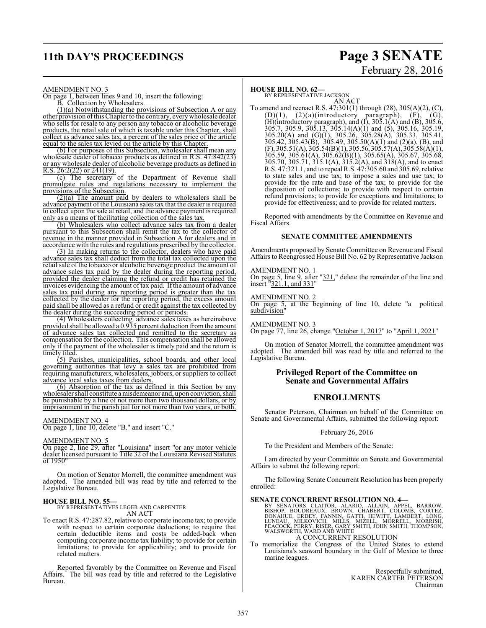# **11th DAY'S PROCEEDINGS Page 3 SENATE**

# February 28, 2016

#### AMENDMENT NO. 3

On page 1, between lines 9 and 10, insert the following: B. Collection by Wholesalers.

(1)(a) Notwithstanding the provisions of Subsection A or any other provision ofthis Chapter to the contrary, everywholesale dealer who sells for resale to any person any tobacco or alcoholic beverage products, the retail sale of which is taxable under this Chapter, shall collect as advance sales tax, a percent of the sales price of the article equal to the sales tax levied on the article by this Chapter.

(b) For purposes of this Subsection, wholesaler shall mean any wholesale dealer of tobacco products as defined in R.S. 47:842(23) or any wholesale dealer of alcoholic beverage products as defined in R.S.  $26:2(22)$  or  $241(19)$ .

(c) The secretary of the Department of Revenue shall promulgate rules and regulations necessary to implement the provisions of the Subsection.

(2)(a) The amount paid by dealers to wholesalers shall be advance payment of the Louisiana sales tax that the dealer is required to collect upon the sale at retail, and the advance payment is required only as a means of facilitating collection of the sales tax.

(b) Wholesalers who collect advance sales tax from a dealer pursuant to this Subsection shall remit the tax to the collector of revenue in the manner provided in Subsection A for dealers and in accordance with the rules and regulations prescribed by the collector.

(3) In making returns to the collector, dealers who have paid advance sales tax shall deduct from the total tax collected upon the retail sale of the tobacco or alcoholic beverage product the amount of advance sales tax paid by the dealer during the reporting period, provided the dealer claiming the refund or credit has retained the invoices evidencing the amount of tax paid. Ifthe amount of advance sales tax paid during any reporting period is greater than the tax collected by the dealer for the reporting period, the excess amount paid shall be allowed as a refund or credit against the tax collected by the dealer during the succeeding period or periods.

(4) Wholesalers collecting advance sales taxes as hereinabove provided shall be allowed a 0.935 percent deduction fromthe amount of advance sales tax collected and remitted to the secretary as compensation for the collection. This compensation shall be allowed only if the payment of the wholesaler is timely paid and the return is timely filed.

(5) Parishes, municipalities, school boards, and other local governing authorities that levy a sales tax are prohibited from requiring manufacturers, wholesalers, jobbers, or suppliers to collect advance local sales taxes from dealers.

(6) Absorption of the tax as defined in this Section by any wholesaler shall constitute a misdemeanor and, upon conviction, shall be punishable by a fine of not more than two thousand dollars, or by imprisonment in the parish jail for not more than two years, or both.

#### AMENDMENT NO. 4

On page 1, line 10, delete "B." and insert "C."

#### AMENDMENT NO. 5

On page 2, line 29, after "Louisiana" insert "or any motor vehicle dealer licensed pursuant to Title 32 of the Louisiana Revised Statutes of 1950"

On motion of Senator Morrell, the committee amendment was adopted. The amended bill was read by title and referred to the Legislative Bureau.

**HOUSE BILL NO. 55—** BY REPRESENTATIVES LEGER AND CARPENTER AN ACT

To enact R.S. 47:287.82, relative to corporate income tax; to provide with respect to certain corporate deductions; to require that certain deductible items and costs be added-back when computing corporate income tax liability; to provide for certain limitations; to provide for applicability; and to provide for related matters.

Reported favorably by the Committee on Revenue and Fiscal Affairs. The bill was read by title and referred to the Legislative Bureau.

#### **HOUSE BILL NO. 62—**

BY REPRESENTATIVE JACKSON AN ACT

To amend and reenact R.S. 47:301(1) through (28), 305(A)(2), (C),  $(D)(1)$ ,  $(2)(a)(introducing a paragraph)$ ,  $(F)$ ,  $(G)$ , (H)(introductory paragraph), and  $(I)$ , 305.1 $(A)$  and  $(B)$ , 305.6, 305.7, 305.9, 305.13, 305.14(A)(1) and (5), 305.16, 305.19, 305.20(A) and (G)(1), 305.26, 305.28(A), 305.33, 305.41, 305.42, 305.43(B), 305.49, 305.50(A)(1) and (2)(a), (B), and  $(F)$ , 305.51(A), 305.54(B)(1), 305.56, 305.57(A), 305.58(A)(1), 305.59, 305.61(A), 305.62(B)(1), 305.65(A), 305.67, 305.68, 305.70, 305.71, 315.1(A), 315.2(A), and 318(A), and to enact R.S. 47:321.1, and to repeal R.S. 47:305.60 and 305.69, relative to state sales and use tax; to impose a sales and use tax; to provide for the rate and base of the tax; to provide for the disposition of collections; to provide with respect to certain refund provisions; to provide for exceptions and limitations; to provide for effectiveness; and to provide for related matters.

Reported with amendments by the Committee on Revenue and Fiscal Affairs.

#### **SENATE COMMITTEE AMENDMENTS**

Amendments proposed by Senate Committee on Revenue and Fiscal Affairs to Reengrossed House Bill No. 62 by Representative Jackson

#### AMENDMENT NO. 1

On page 5, line 9, after "321," delete the remainder of the line and insert "321.1, and 331"

#### AMENDMENT NO. 2

On page 5, at the beginning of line 10, delete "a political subdivision"

AMENDMENT NO. 3

On page 77, line 26, change "October 1, 2017" to "April 1, 2021"

On motion of Senator Morrell, the committee amendment was adopted. The amended bill was read by title and referred to the Legislative Bureau.

#### **Privileged Report of the Committee on Senate and Governmental Affairs**

#### **ENROLLMENTS**

Senator Peterson, Chairman on behalf of the Committee on Senate and Governmental Affairs, submitted the following report:

February 26, 2016

To the President and Members of the Senate:

I am directed by your Committee on Senate and Governmental Affairs to submit the following report:

The following Senate Concurrent Resolution has been properly enrolled:

#### **SENATE CONCURRENT RESOLUTION NO. 4—**

BY SENATORS CLAITOR, ALARIO, ALLAIN, APPEL, BARROW,<br>BISHOP, BOUDREAUX, BROWN, CHABERT, COLOMB, CORTEZ,<br>DONAHUE, ERDEY, FANNIN, GATTI, HEWITT, LAMBERT, LONG,<br>LUNEAU, MILKOVICH, MILLS, MIZELL, MORRELL, MORRISH,<br>PEACOCK, PERR A CONCURRENT RESOLUTION

#### To memorialize the Congress of the United States to extend Louisiana's seaward boundary in the Gulf of Mexico to three marine leagues.

Respectfully submitted, KAREN CARTER PETERSON Chairman